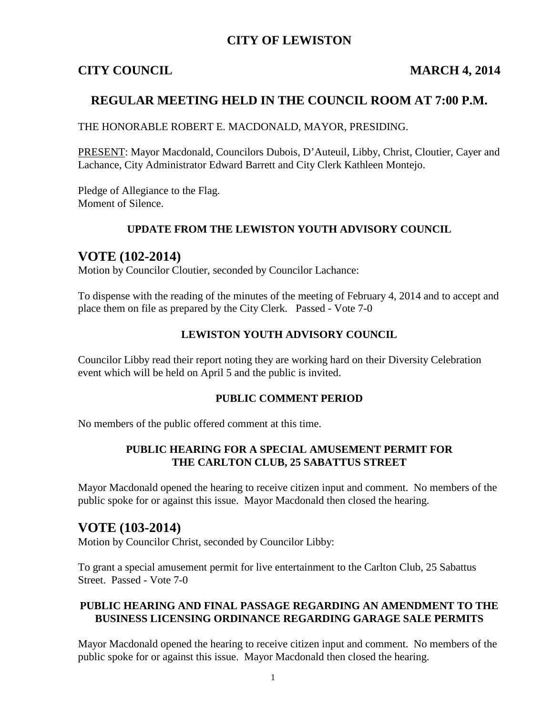### **CITY OF LEWISTON**

### **CITY COUNCIL MARCH 4, 2014**

### **REGULAR MEETING HELD IN THE COUNCIL ROOM AT 7:00 P.M.**

THE HONORABLE ROBERT E. MACDONALD, MAYOR, PRESIDING.

PRESENT: Mayor Macdonald, Councilors Dubois, D'Auteuil, Libby, Christ, Cloutier, Cayer and Lachance, City Administrator Edward Barrett and City Clerk Kathleen Montejo.

Pledge of Allegiance to the Flag. Moment of Silence.

#### **UPDATE FROM THE LEWISTON YOUTH ADVISORY COUNCIL**

#### **VOTE (102-2014)**

Motion by Councilor Cloutier, seconded by Councilor Lachance:

To dispense with the reading of the minutes of the meeting of February 4, 2014 and to accept and place them on file as prepared by the City Clerk. Passed - Vote 7-0

#### **LEWISTON YOUTH ADVISORY COUNCIL**

Councilor Libby read their report noting they are working hard on their Diversity Celebration event which will be held on April 5 and the public is invited.

#### **PUBLIC COMMENT PERIOD**

No members of the public offered comment at this time.

#### **PUBLIC HEARING FOR A SPECIAL AMUSEMENT PERMIT FOR THE CARLTON CLUB, 25 SABATTUS STREET**

Mayor Macdonald opened the hearing to receive citizen input and comment. No members of the public spoke for or against this issue. Mayor Macdonald then closed the hearing.

#### **VOTE (103-2014)**

Motion by Councilor Christ, seconded by Councilor Libby:

To grant a special amusement permit for live entertainment to the Carlton Club, 25 Sabattus Street. Passed - Vote 7-0

#### **PUBLIC HEARING AND FINAL PASSAGE REGARDING AN AMENDMENT TO THE BUSINESS LICENSING ORDINANCE REGARDING GARAGE SALE PERMITS**

Mayor Macdonald opened the hearing to receive citizen input and comment. No members of the public spoke for or against this issue. Mayor Macdonald then closed the hearing.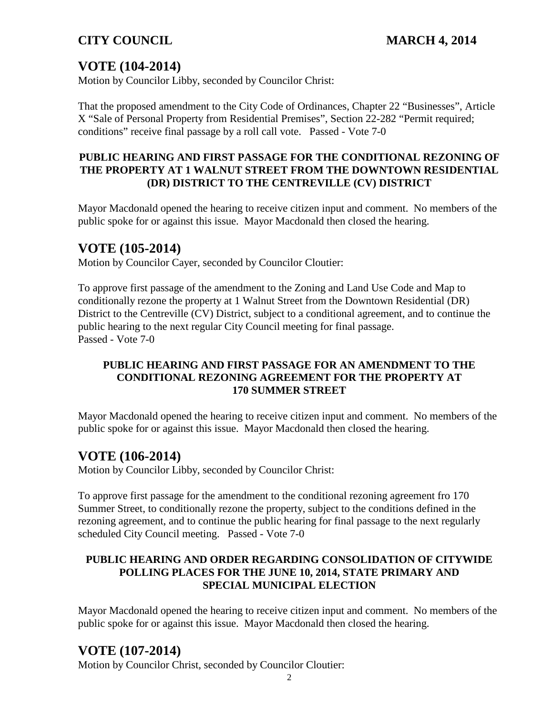# **VOTE (104-2014)**

Motion by Councilor Libby, seconded by Councilor Christ:

That the proposed amendment to the City Code of Ordinances, Chapter 22 "Businesses", Article X "Sale of Personal Property from Residential Premises", Section 22-282 "Permit required; conditions" receive final passage by a roll call vote. Passed - Vote 7-0

#### **PUBLIC HEARING AND FIRST PASSAGE FOR THE CONDITIONAL REZONING OF THE PROPERTY AT 1 WALNUT STREET FROM THE DOWNTOWN RESIDENTIAL (DR) DISTRICT TO THE CENTREVILLE (CV) DISTRICT**

Mayor Macdonald opened the hearing to receive citizen input and comment. No members of the public spoke for or against this issue. Mayor Macdonald then closed the hearing.

# **VOTE (105-2014)**

Motion by Councilor Cayer, seconded by Councilor Cloutier:

To approve first passage of the amendment to the Zoning and Land Use Code and Map to conditionally rezone the property at 1 Walnut Street from the Downtown Residential (DR) District to the Centreville (CV) District, subject to a conditional agreement, and to continue the public hearing to the next regular City Council meeting for final passage. Passed - Vote 7-0

#### **PUBLIC HEARING AND FIRST PASSAGE FOR AN AMENDMENT TO THE CONDITIONAL REZONING AGREEMENT FOR THE PROPERTY AT 170 SUMMER STREET**

Mayor Macdonald opened the hearing to receive citizen input and comment. No members of the public spoke for or against this issue. Mayor Macdonald then closed the hearing.

# **VOTE (106-2014)**

Motion by Councilor Libby, seconded by Councilor Christ:

To approve first passage for the amendment to the conditional rezoning agreement fro 170 Summer Street, to conditionally rezone the property, subject to the conditions defined in the rezoning agreement, and to continue the public hearing for final passage to the next regularly scheduled City Council meeting. Passed - Vote 7-0

### **PUBLIC HEARING AND ORDER REGARDING CONSOLIDATION OF CITYWIDE POLLING PLACES FOR THE JUNE 10, 2014, STATE PRIMARY AND SPECIAL MUNICIPAL ELECTION**

Mayor Macdonald opened the hearing to receive citizen input and comment. No members of the public spoke for or against this issue. Mayor Macdonald then closed the hearing.

# **VOTE (107-2014)**

Motion by Councilor Christ, seconded by Councilor Cloutier: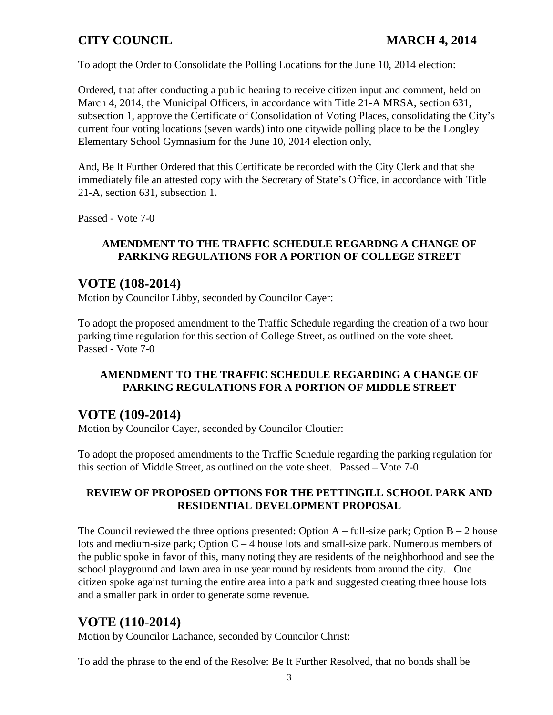To adopt the Order to Consolidate the Polling Locations for the June 10, 2014 election:

Ordered, that after conducting a public hearing to receive citizen input and comment, held on March 4, 2014, the Municipal Officers, in accordance with Title 21-A MRSA, section 631, subsection 1, approve the Certificate of Consolidation of Voting Places, consolidating the City's current four voting locations (seven wards) into one citywide polling place to be the Longley Elementary School Gymnasium for the June 10, 2014 election only,

And, Be It Further Ordered that this Certificate be recorded with the City Clerk and that she immediately file an attested copy with the Secretary of State's Office, in accordance with Title 21-A, section 631, subsection 1.

Passed - Vote 7-0

#### **AMENDMENT TO THE TRAFFIC SCHEDULE REGARDNG A CHANGE OF PARKING REGULATIONS FOR A PORTION OF COLLEGE STREET**

## **VOTE (108-2014)**

Motion by Councilor Libby, seconded by Councilor Cayer:

To adopt the proposed amendment to the Traffic Schedule regarding the creation of a two hour parking time regulation for this section of College Street, as outlined on the vote sheet. Passed - Vote 7-0

#### **AMENDMENT TO THE TRAFFIC SCHEDULE REGARDING A CHANGE OF PARKING REGULATIONS FOR A PORTION OF MIDDLE STREET**

## **VOTE (109-2014)**

Motion by Councilor Cayer, seconded by Councilor Cloutier:

To adopt the proposed amendments to the Traffic Schedule regarding the parking regulation for this section of Middle Street, as outlined on the vote sheet. Passed – Vote 7-0

#### **REVIEW OF PROPOSED OPTIONS FOR THE PETTINGILL SCHOOL PARK AND RESIDENTIAL DEVELOPMENT PROPOSAL**

The Council reviewed the three options presented: Option  $A - full-size park$ ; Option  $B - 2$  house lots and medium-size park; Option C – 4 house lots and small-size park. Numerous members of the public spoke in favor of this, many noting they are residents of the neighborhood and see the school playground and lawn area in use year round by residents from around the city. One citizen spoke against turning the entire area into a park and suggested creating three house lots and a smaller park in order to generate some revenue.

## **VOTE (110-2014)**

Motion by Councilor Lachance, seconded by Councilor Christ:

To add the phrase to the end of the Resolve: Be It Further Resolved, that no bonds shall be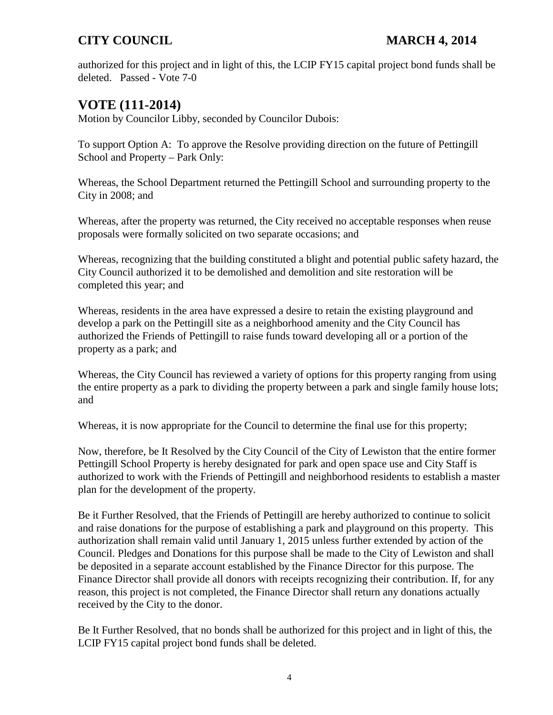authorized for this project and in light of this, the LCIP FY15 capital project bond funds shall be deleted. Passed - Vote 7-0

# **VOTE (111-2014)**

Motion by Councilor Libby, seconded by Councilor Dubois:

To support Option A: To approve the Resolve providing direction on the future of Pettingill School and Property – Park Only:

Whereas, the School Department returned the Pettingill School and surrounding property to the City in 2008; and

Whereas, after the property was returned, the City received no acceptable responses when reuse proposals were formally solicited on two separate occasions; and

Whereas, recognizing that the building constituted a blight and potential public safety hazard, the City Council authorized it to be demolished and demolition and site restoration will be completed this year; and

Whereas, residents in the area have expressed a desire to retain the existing playground and develop a park on the Pettingill site as a neighborhood amenity and the City Council has authorized the Friends of Pettingill to raise funds toward developing all or a portion of the property as a park; and

Whereas, the City Council has reviewed a variety of options for this property ranging from using the entire property as a park to dividing the property between a park and single family house lots; and

Whereas, it is now appropriate for the Council to determine the final use for this property;

Now, therefore, be It Resolved by the City Council of the City of Lewiston that the entire former Pettingill School Property is hereby designated for park and open space use and City Staff is authorized to work with the Friends of Pettingill and neighborhood residents to establish a master plan for the development of the property.

Be it Further Resolved, that the Friends of Pettingill are hereby authorized to continue to solicit and raise donations for the purpose of establishing a park and playground on this property. This authorization shall remain valid until January 1, 2015 unless further extended by action of the Council. Pledges and Donations for this purpose shall be made to the City of Lewiston and shall be deposited in a separate account established by the Finance Director for this purpose. The Finance Director shall provide all donors with receipts recognizing their contribution. If, for any reason, this project is not completed, the Finance Director shall return any donations actually received by the City to the donor.

Be It Further Resolved, that no bonds shall be authorized for this project and in light of this, the LCIP FY15 capital project bond funds shall be deleted.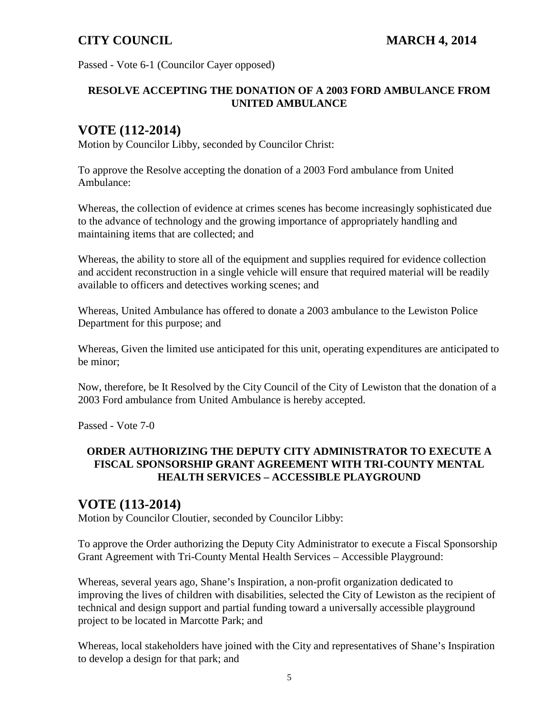Passed - Vote 6-1 (Councilor Cayer opposed)

#### **RESOLVE ACCEPTING THE DONATION OF A 2003 FORD AMBULANCE FROM UNITED AMBULANCE**

# **VOTE (112-2014)**

Motion by Councilor Libby, seconded by Councilor Christ:

To approve the Resolve accepting the donation of a 2003 Ford ambulance from United Ambulance:

Whereas, the collection of evidence at crimes scenes has become increasingly sophisticated due to the advance of technology and the growing importance of appropriately handling and maintaining items that are collected; and

Whereas, the ability to store all of the equipment and supplies required for evidence collection and accident reconstruction in a single vehicle will ensure that required material will be readily available to officers and detectives working scenes; and

Whereas, United Ambulance has offered to donate a 2003 ambulance to the Lewiston Police Department for this purpose; and

Whereas, Given the limited use anticipated for this unit, operating expenditures are anticipated to be minor;

Now, therefore, be It Resolved by the City Council of the City of Lewiston that the donation of a 2003 Ford ambulance from United Ambulance is hereby accepted.

Passed - Vote 7-0

#### **ORDER AUTHORIZING THE DEPUTY CITY ADMINISTRATOR TO EXECUTE A FISCAL SPONSORSHIP GRANT AGREEMENT WITH TRI-COUNTY MENTAL HEALTH SERVICES – ACCESSIBLE PLAYGROUND**

## **VOTE (113-2014)**

Motion by Councilor Cloutier, seconded by Councilor Libby:

To approve the Order authorizing the Deputy City Administrator to execute a Fiscal Sponsorship Grant Agreement with Tri-County Mental Health Services – Accessible Playground:

Whereas, several years ago, Shane's Inspiration, a non-profit organization dedicated to improving the lives of children with disabilities, selected the City of Lewiston as the recipient of technical and design support and partial funding toward a universally accessible playground project to be located in Marcotte Park; and

Whereas, local stakeholders have joined with the City and representatives of Shane's Inspiration to develop a design for that park; and